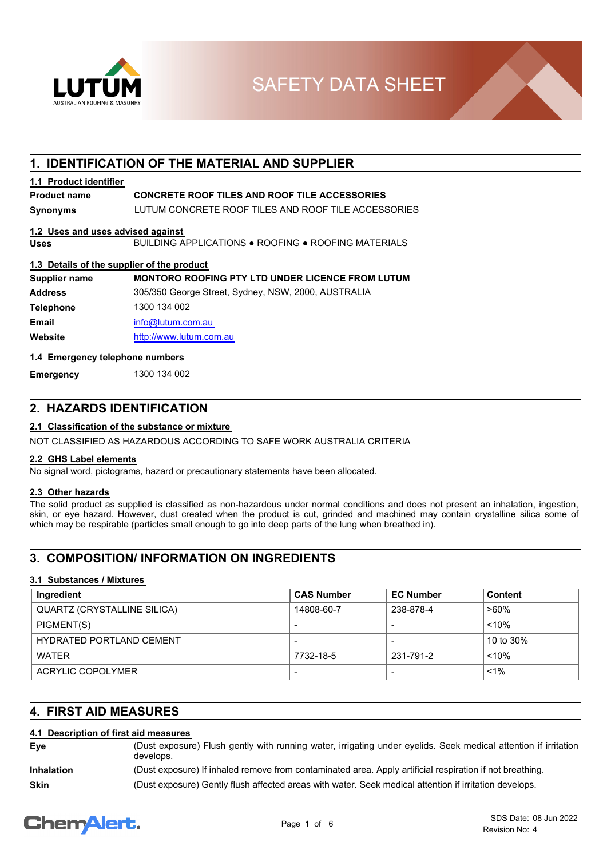

**SAFETY DATA SHEET** 

## **1. IDENTIFICATION OF THE MATERIAL AND SUPPLIER**

#### **1.1 Product identifier**

## **Product name CONCRETE ROOF TILES AND ROOF TILE ACCESSORIES**

**Synonyms** LUTUM CONCRETE ROOF TILES AND ROOF TILE ACCESSORIES

#### **1.2 Uses and uses advised against**

**Uses** BUILDING APPLICATIONS ● ROOFING ● ROOFING MATERIALS

#### **1.3 Details of the supplier of the product**

| Supplier name    | <b>MONTORO ROOFING PTY LTD UNDER LICENCE FROM LUTUM</b> |
|------------------|---------------------------------------------------------|
| <b>Address</b>   | 305/350 George Street, Sydney, NSW, 2000, AUSTRALIA     |
| <b>Telephone</b> | 1300 134 002                                            |
| <b>Email</b>     | info@lutum.com.au                                       |
| Website          | http://www.lutum.com.au                                 |
|                  |                                                         |

#### **1.4 Emergency telephone numbers**

**Emergency** 1300 134 002

## **2. HAZARDS IDENTIFICATION**

#### **2.1 Classification of the substance or mixture**

NOT CLASSIFIED AS HAZARDOUS ACCORDING TO SAFE WORK AUSTRALIA CRITERIA

#### **2.2 GHS Label elements**

No signal word, pictograms, hazard or precautionary statements have been allocated.

#### **2.3 Other hazards**

The solid product as supplied is classified as non-hazardous under normal conditions and does not present an inhalation, ingestion, skin, or eye hazard. However, dust created when the product is cut, grinded and machined may contain crystalline silica some of which may be respirable (particles small enough to go into deep parts of the lung when breathed in).

## **3. COMPOSITION/ INFORMATION ON INGREDIENTS**

#### **3.1 Substances / Mixtures**

| Ingredient                      | <b>CAS Number</b>        | <b>EC Number</b> | Content   |
|---------------------------------|--------------------------|------------------|-----------|
| QUARTZ (CRYSTALLINE SILICA)     | 14808-60-7               | 238-878-4        | $>60\%$   |
| PIGMENT(S)                      | $\overline{\phantom{a}}$ |                  | $< 10\%$  |
| <b>HYDRATED PORTLAND CEMENT</b> | $\,$                     |                  | 10 to 30% |
| WATFR                           | 7732-18-5                | 231-791-2        | $< 10\%$  |
| ACRYLIC COPOLYMER               | $\overline{\phantom{a}}$ |                  | $1\%$     |

## **4. FIRST AID MEASURES**

#### **4.1 Description of first aid measures**

| Eve               | (Dust exposure) Flush gently with running water, irrigating under eyelids. Seek medical attention if irritation<br>develops. |
|-------------------|------------------------------------------------------------------------------------------------------------------------------|
| <b>Inhalation</b> | (Dust exposure) If inhaled remove from contaminated area. Apply artificial respiration if not breathing.                     |
| <b>Skin</b>       | (Dust exposure) Gently flush affected areas with water. Seek medical attention if irritation develops.                       |

# **ChemAlert.**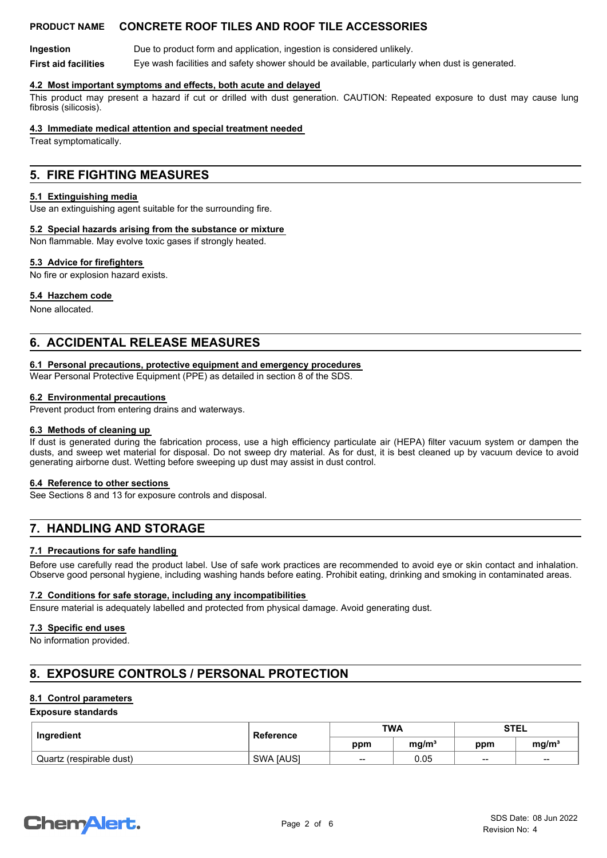**Ingestion Due to product form and application, ingestion is considered unlikely. First aid facilities** Eye wash facilities and safety shower should be available, particularly when dust is generated.

#### **4.2 Most important symptoms and effects, both acute and delayed**

This product may present a hazard if cut or drilled with dust generation. CAUTION: Repeated exposure to dust may cause lung fibrosis (silicosis).

#### **4.3 Immediate medical attention and special treatment needed**

Treat symptomatically.

## **5. FIRE FIGHTING MEASURES**

#### **5.1 Extinguishing media**

Use an extinguishing agent suitable for the surrounding fire.

#### **5.2 Special hazards arising from the substance or mixture**

Non flammable. May evolve toxic gases if strongly heated.

#### **5.3 Advice for firefighters**

No fire or explosion hazard exists.

#### **5.4 Hazchem code**

None allocated.

## **6. ACCIDENTAL RELEASE MEASURES**

#### **6.1 Personal precautions, protective equipment and emergency procedures**

Wear Personal Protective Equipment (PPE) as detailed in section 8 of the SDS.

#### **6.2 Environmental precautions**

Prevent product from entering drains and waterways.

#### **6.3 Methods of cleaning up**

If dust is generated during the fabrication process, use a high efficiency particulate air (HEPA) filter vacuum system or dampen the dusts, and sweep wet material for disposal. Do not sweep dry material. As for dust, it is best cleaned up by vacuum device to avoid generating airborne dust. Wetting before sweeping up dust may assist in dust control.

#### **6.4 Reference to other sections**

See Sections 8 and 13 for exposure controls and disposal.

## **7. HANDLING AND STORAGE**

#### **7.1 Precautions for safe handling**

Before use carefully read the product label. Use of safe work practices are recommended to avoid eye or skin contact and inhalation. Observe good personal hygiene, including washing hands before eating. Prohibit eating, drinking and smoking in contaminated areas.

#### **7.2 Conditions for safe storage, including any incompatibilities**

Ensure material is adequately labelled and protected from physical damage. Avoid generating dust.

#### **7.3 Specific end uses**

No information provided.

## **8. EXPOSURE CONTROLS / PERSONAL PROTECTION**

#### **8.1 Control parameters**

#### **Exposure standards**

| Ingredient               | Reference | <b>TWA</b> |                   | <b>STEL</b> |                   |
|--------------------------|-----------|------------|-------------------|-------------|-------------------|
|                          |           | ppm        | ma/m <sup>3</sup> | ppm         | mq/m <sup>3</sup> |
| Quartz (respirable dust) | SWA [AUS] | $- -$      | 0.05              | $- -$       | $\sim$            |

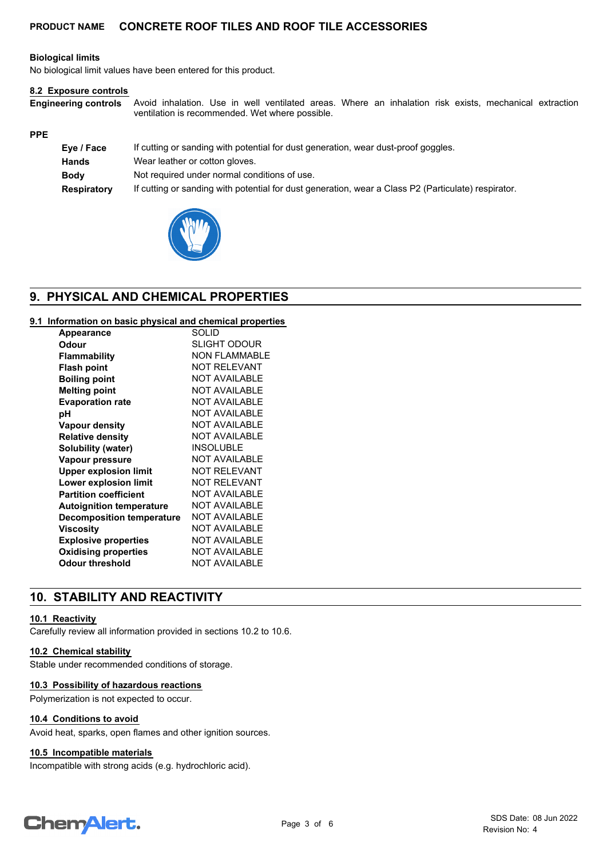#### **Biological limits**

No biological limit values have been entered for this product.

#### **8.2 Exposure controls**

Avoid inhalation. Use in well ventilated areas. Where an inhalation risk exists, mechanical extraction ventilation is recommended. Wet where possible. **Engineering controls**

#### **PPE**

| Eye / Face  | If cutting or sanding with potential for dust generation, wear dust-proof goggles.                  |
|-------------|-----------------------------------------------------------------------------------------------------|
| Hands       | Wear leather or cotton gloves.                                                                      |
| <b>Body</b> | Not required under normal conditions of use.                                                        |
| Respiratory | If cutting or sanding with potential for dust generation, wear a Class P2 (Particulate) respirator. |



## **9. PHYSICAL AND CHEMICAL PROPERTIES**

### **9.1 Information on basic physical and chemical properties**

| <b>Appearance</b>                | SOLID                |
|----------------------------------|----------------------|
| Odour                            | SLIGHT ODOUR         |
| Flammability                     | NON FI AMMABI F      |
| <b>Flash point</b>               | <b>NOT RELEVANT</b>  |
| <b>Boiling point</b>             | <b>NOT AVAILABLE</b> |
| <b>Melting point</b>             | <b>NOT AVAILABLE</b> |
| <b>Evaporation rate</b>          | <b>NOT AVAILABLE</b> |
| рH                               | <b>NOT AVAILABLE</b> |
| Vapour density                   | <b>NOT AVAILABLE</b> |
| <b>Relative density</b>          | <b>NOT AVAILABLE</b> |
| Solubility (water)               | <b>INSOLUBLE</b>     |
| Vapour pressure                  | NOT AVAILABLE        |
| <b>Upper explosion limit</b>     | <b>NOT RELEVANT</b>  |
| Lower explosion limit            | NOT RFI FVANT        |
| <b>Partition coefficient</b>     | <b>NOT AVAILABLE</b> |
| <b>Autoignition temperature</b>  | <b>NOT AVAILABLE</b> |
| <b>Decomposition temperature</b> | <b>NOT AVAILABLE</b> |
| Viscosity                        | <b>NOT AVAILABLE</b> |
| <b>Explosive properties</b>      | <b>NOT AVAILABLE</b> |
| <b>Oxidising properties</b>      | <b>NOT AVAILABLE</b> |
| Odour threshold                  | <b>NOT AVAILABLE</b> |

## **10. STABILITY AND REACTIVITY**

#### **10.1 Reactivity**

Carefully review all information provided in sections 10.2 to 10.6.

#### **10.2 Chemical stability**

Stable under recommended conditions of storage.

#### **10.3 Possibility of hazardous reactions**

Polymerization is not expected to occur.

#### **10.4 Conditions to avoid**

Avoid heat, sparks, open flames and other ignition sources.

#### **10.5 Incompatible materials**

Incompatible with strong acids (e.g. hydrochloric acid).

# **ChemAlert.**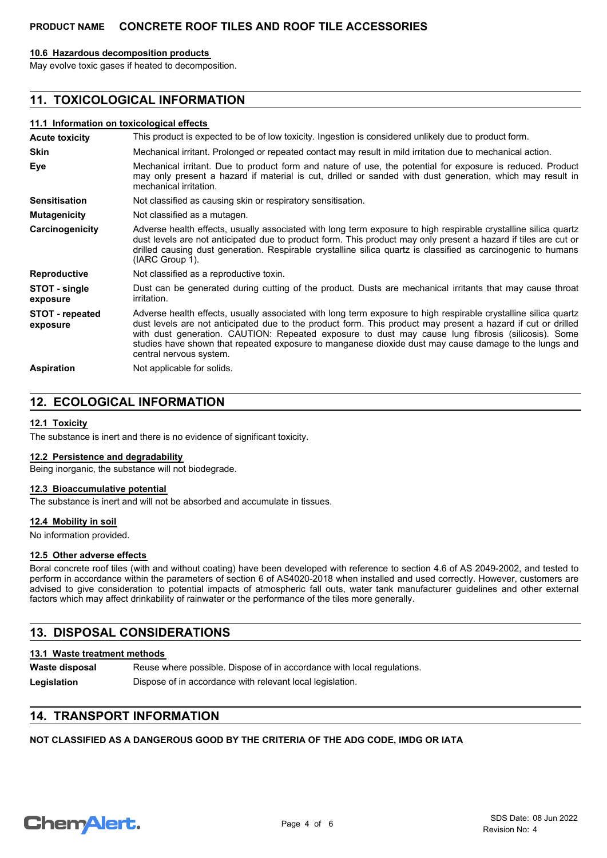#### **10.6 Hazardous decomposition products**

May evolve toxic gases if heated to decomposition.

## **11. TOXICOLOGICAL INFORMATION**

#### **11.1 Information on toxicological effects**

| <b>Acute toxicity</b>       | This product is expected to be of low toxicity. Ingestion is considered unlikely due to product form.                                                                                                                                                                                                                                                                                                                                                                     |
|-----------------------------|---------------------------------------------------------------------------------------------------------------------------------------------------------------------------------------------------------------------------------------------------------------------------------------------------------------------------------------------------------------------------------------------------------------------------------------------------------------------------|
| <b>Skin</b>                 | Mechanical irritant. Prolonged or repeated contact may result in mild irritation due to mechanical action.                                                                                                                                                                                                                                                                                                                                                                |
| Eye                         | Mechanical irritant. Due to product form and nature of use, the potential for exposure is reduced. Product<br>may only present a hazard if material is cut, drilled or sanded with dust generation, which may result in<br>mechanical irritation.                                                                                                                                                                                                                         |
| <b>Sensitisation</b>        | Not classified as causing skin or respiratory sensitisation.                                                                                                                                                                                                                                                                                                                                                                                                              |
| <b>Mutagenicity</b>         | Not classified as a mutagen.                                                                                                                                                                                                                                                                                                                                                                                                                                              |
| Carcinogenicity             | Adverse health effects, usually associated with long term exposure to high respirable crystalline silica quartz<br>dust levels are not anticipated due to product form. This product may only present a hazard if tiles are cut or<br>drilled causing dust generation. Respirable crystalline silica quartz is classified as carcinogenic to humans<br>(IARC Group 1).                                                                                                    |
| <b>Reproductive</b>         | Not classified as a reproductive toxin.                                                                                                                                                                                                                                                                                                                                                                                                                                   |
| STOT - single<br>exposure   | Dust can be generated during cutting of the product. Dusts are mechanical irritants that may cause throat<br><i>irritation.</i>                                                                                                                                                                                                                                                                                                                                           |
| STOT - repeated<br>exposure | Adverse health effects, usually associated with long term exposure to high respirable crystalline silica quartz<br>dust levels are not anticipated due to the product form. This product may present a hazard if cut or drilled<br>with dust generation. CAUTION: Repeated exposure to dust may cause lung fibrosis (silicosis). Some<br>studies have shown that repeated exposure to manganese dioxide dust may cause damage to the lungs and<br>central nervous system. |
| <b>Aspiration</b>           | Not applicable for solids.                                                                                                                                                                                                                                                                                                                                                                                                                                                |

## **12. ECOLOGICAL INFORMATION**

#### **12.1 Toxicity**

The substance is inert and there is no evidence of significant toxicity.

#### **12.2 Persistence and degradability**

Being inorganic, the substance will not biodegrade.

#### **12.3 Bioaccumulative potential**

The substance is inert and will not be absorbed and accumulate in tissues.

#### **12.4 Mobility in soil**

No information provided.

#### **12.5 Other adverse effects**

Boral concrete roof tiles (with and without coating) have been developed with reference to section 4.6 of AS 2049-2002, and tested to perform in accordance within the parameters of section 6 of AS4020-2018 when installed and used correctly. However, customers are advised to give consideration to potential impacts of atmospheric fall outs, water tank manufacturer guidelines and other external factors which may affect drinkability of rainwater or the performance of the tiles more generally.

## **13. DISPOSAL CONSIDERATIONS**

#### **13.1 Waste treatment methods**

Reuse where possible. Dispose of in accordance with local regulations. **Waste disposal** Legislation **Dispose of in accordance with relevant local legislation.** 

## **14. TRANSPORT INFORMATION**

**NOT CLASSIFIED AS A DANGEROUS GOOD BY THE CRITERIA OF THE ADG CODE, IMDG OR IATA**

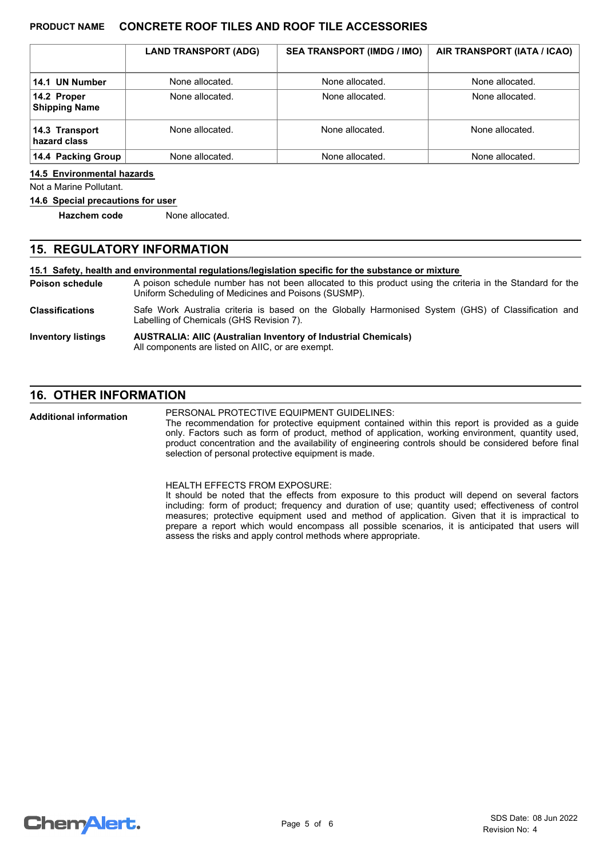|                                     | <b>LAND TRANSPORT (ADG)</b> | <b>SEA TRANSPORT (IMDG / IMO)</b> | AIR TRANSPORT (IATA / ICAO) |
|-------------------------------------|-----------------------------|-----------------------------------|-----------------------------|
| 14.1 UN Number                      | None allocated.             | None allocated.                   | None allocated.             |
| 14.2 Proper<br><b>Shipping Name</b> | None allocated.             | None allocated.                   | None allocated.             |
| 14.3 Transport<br>hazard class      | None allocated.             | None allocated.                   | None allocated.             |
| 14.4 Packing Group                  | None allocated.             | None allocated.                   | None allocated.             |

#### **14.5 Environmental hazards**

Not a Marine Pollutant.

#### **14.6 Special precautions for user**

**Hazchem code** None allocated.

#### **15. REGULATORY INFORMATION**

**15.1 Safety, health and environmental regulations/legislation specific for the substance or mixture**

A poison schedule number has not been allocated to this product using the criteria in the Standard for the Uniform Scheduling of Medicines and Poisons (SUSMP). **Poison schedule**

Safe Work Australia criteria is based on the Globally Harmonised System (GHS) of Classification and Labelling of Chemicals (GHS Revision 7). **Classifications**

#### **AUSTRALIA: AIIC (Australian Inventory of Industrial Chemicals)** All components are listed on AIIC, or are exempt. **Inventory listings**

## **16. OTHER INFORMATION**

PERSONAL PROTECTIVE EQUIPMENT GUIDELINES: **Additional information**

The recommendation for protective equipment contained within this report is provided as a guide only. Factors such as form of product, method of application, working environment, quantity used, product concentration and the availability of engineering controls should be considered before final selection of personal protective equipment is made.

HEALTH EFFECTS FROM EXPOSURE:

It should be noted that the effects from exposure to this product will depend on several factors including: form of product; frequency and duration of use; quantity used; effectiveness of control measures; protective equipment used and method of application. Given that it is impractical to prepare a report which would encompass all possible scenarios, it is anticipated that users will assess the risks and apply control methods where appropriate.